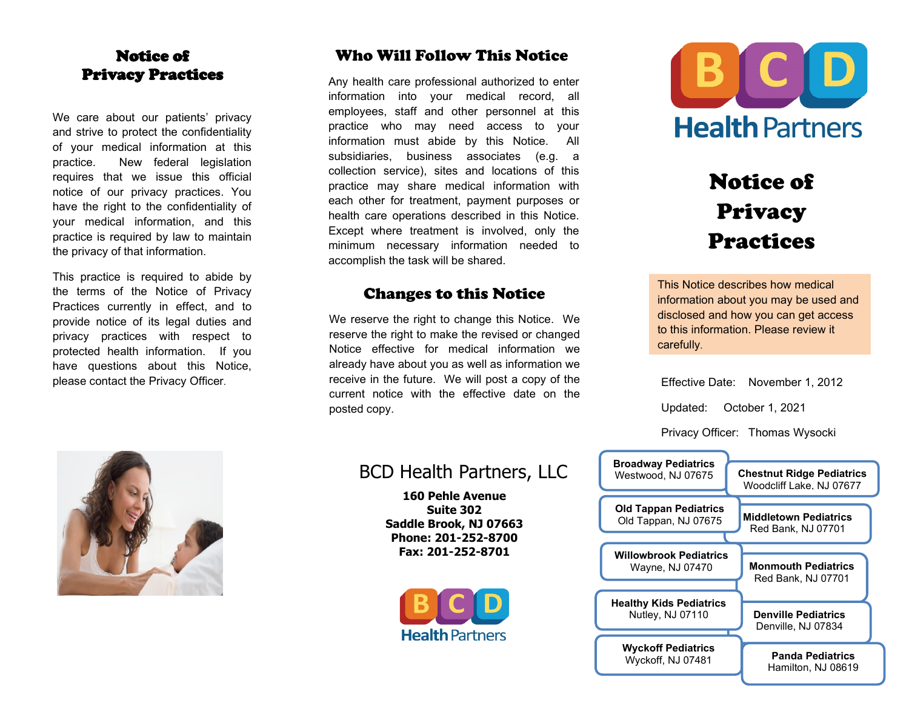## Notice Notice of Privacy Practices

We care about our patients' privacy and strive to protect the confidentiality of your medical information at this practice. New federal legislation requires that we issue this official notice of our privacy practices. You have the right to the confidentiality of your medical information, and this practice is required by law to maintain the privacy of that information.

This practice is required to abide by the terms of the Notice of Privacy Practices currently in effect, and to provide notice of its legal duties and privacy practices with respect to protected health information. If you have questions about this Notice, please contact the Privacy Officer.



## Who Will Follow This Notice

Any health care professional authorized to enter information into your medical record, all employees, staff and other personnel at this practice who may need access to your information must abide by this Notice. All subsidiaries, business associates (e.g. a collection service), sites and locations of this practice may share medical information with each other for treatment, payment purposes or health care operations described in this Notice. Except where treatment is involved, only the minimum necessary information needed to accomplish the task will be shared.

## Changes to this Notice

We reserve the right to change this Notice. We reserve the right to make the revised or changed Notice effective for medical information we already have about you as well as information we receive in the future. We will post a copy of the current notice with the effective date on the posted copy.

## BCD Health Partners, LLC

**160 Pehle Avenue Suite 302 Saddle Brook, NJ 07663 Phone: 201-252-8700 Fax: 201-252-8701**





# Notice of Privacy Practices

This Notice describes how medical information about you may be used and disclosed and how you can get access to this information. Please review it carefully.

Effective Date: November 1, 2012

Updated: October 1, 2021

Privacy Officer: Thomas Wysocki